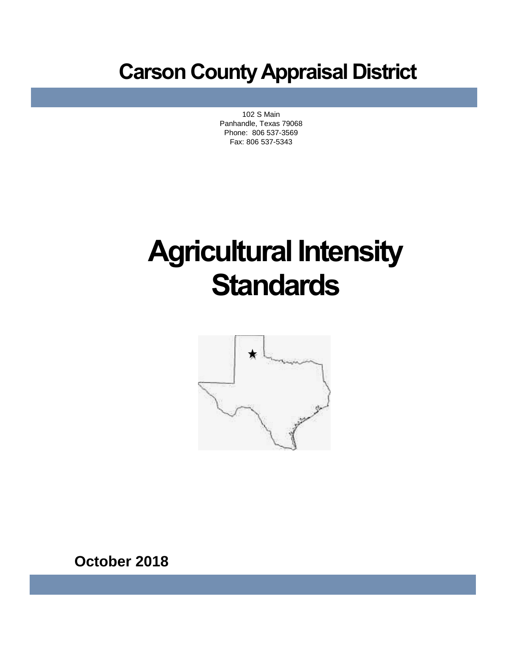# **Carson County Appraisal District**

102 S Main Panhandle, Texas 79068 Phone: 806 537-3569 Fax: 806 537-5343

# **Agricultural Intensity Standards**



**October 2018**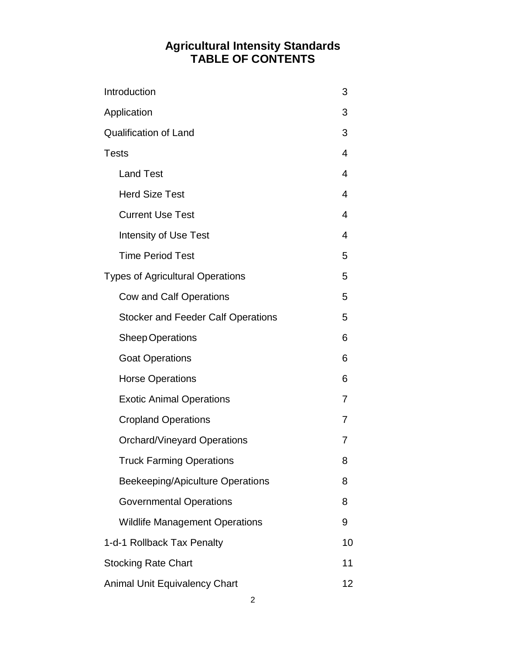#### **Agricultural Intensity Standards TABLE OF CONTENTS**

| Introduction                              | 3  |
|-------------------------------------------|----|
| Application                               | 3  |
| <b>Qualification of Land</b>              | 3  |
| <b>Tests</b>                              | 4  |
| <b>Land Test</b>                          | 4  |
| <b>Herd Size Test</b>                     | 4  |
| <b>Current Use Test</b>                   | 4  |
| <b>Intensity of Use Test</b>              | 4  |
| <b>Time Period Test</b>                   | 5  |
| <b>Types of Agricultural Operations</b>   | 5  |
| <b>Cow and Calf Operations</b>            | 5  |
| <b>Stocker and Feeder Calf Operations</b> | 5  |
| <b>Sheep Operations</b>                   | 6  |
| <b>Goat Operations</b>                    | 6  |
| <b>Horse Operations</b>                   | 6  |
| <b>Exotic Animal Operations</b>           | 7  |
| <b>Cropland Operations</b>                | 7  |
| <b>Orchard/Vineyard Operations</b>        | 7  |
| <b>Truck Farming Operations</b>           | 8  |
| Beekeeping/Apiculture Operations          | 8  |
| <b>Governmental Operations</b>            | 8  |
| <b>Wildlife Management Operations</b>     | 9  |
| 1-d-1 Rollback Tax Penalty                | 10 |
| <b>Stocking Rate Chart</b>                | 11 |
| <b>Animal Unit Equivalency Chart</b>      | 12 |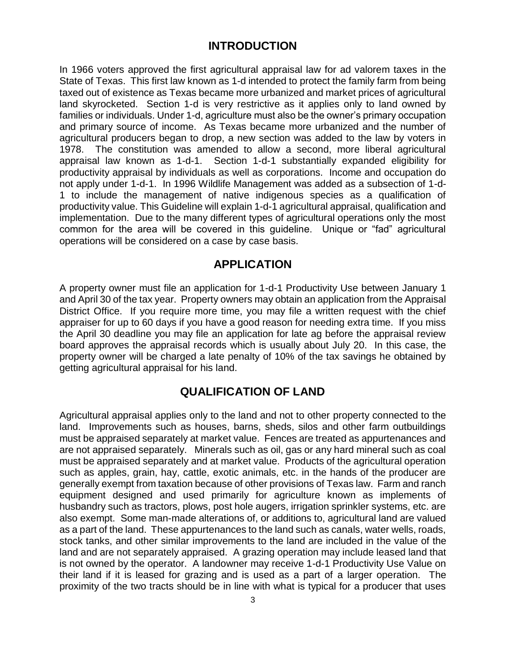#### **INTRODUCTION**

In 1966 voters approved the first agricultural appraisal law for ad valorem taxes in the State of Texas. This first law known as 1-d intended to protect the family farm from being taxed out of existence as Texas became more urbanized and market prices of agricultural land skyrocketed. Section 1-d is very restrictive as it applies only to land owned by families or individuals. Under 1-d, agriculture must also be the owner's primary occupation and primary source of income. As Texas became more urbanized and the number of agricultural producers began to drop, a new section was added to the law by voters in 1978. The constitution was amended to allow a second, more liberal agricultural appraisal law known as 1-d-1. Section 1-d-1 substantially expanded eligibility for productivity appraisal by individuals as well as corporations. Income and occupation do not apply under 1-d-1. In 1996 Wildlife Management was added as a subsection of 1-d-1 to include the management of native indigenous species as a qualification of productivity value. This Guideline will explain 1-d-1 agricultural appraisal, qualification and implementation. Due to the many different types of agricultural operations only the most common for the area will be covered in this guideline. Unique or "fad" agricultural operations will be considered on a case by case basis.

#### **APPLICATION**

A property owner must file an application for 1-d-1 Productivity Use between January 1 and April 30 of the tax year. Property owners may obtain an application from the Appraisal District Office. If you require more time, you may file a written request with the chief appraiser for up to 60 days if you have a good reason for needing extra time. If you miss the April 30 deadline you may file an application for late ag before the appraisal review board approves the appraisal records which is usually about July 20. In this case, the property owner will be charged a late penalty of 10% of the tax savings he obtained by getting agricultural appraisal for his land.

#### **QUALIFICATION OF LAND**

Agricultural appraisal applies only to the land and not to other property connected to the land. Improvements such as houses, barns, sheds, silos and other farm outbuildings must be appraised separately at market value. Fences are treated as appurtenances and are not appraised separately. Minerals such as oil, gas or any hard mineral such as coal must be appraised separately and at market value. Products of the agricultural operation such as apples, grain, hay, cattle, exotic animals, etc. in the hands of the producer are generally exempt from taxation because of other provisions of Texas law. Farm and ranch equipment designed and used primarily for agriculture known as implements of husbandry such as tractors, plows, post hole augers, irrigation sprinkler systems, etc. are also exempt. Some man-made alterations of, or additions to, agricultural land are valued as a part of the land. These appurtenances to the land such as canals, water wells, roads, stock tanks, and other similar improvements to the land are included in the value of the land and are not separately appraised. A grazing operation may include leased land that is not owned by the operator. A landowner may receive 1-d-1 Productivity Use Value on their land if it is leased for grazing and is used as a part of a larger operation. The proximity of the two tracts should be in line with what is typical for a producer that uses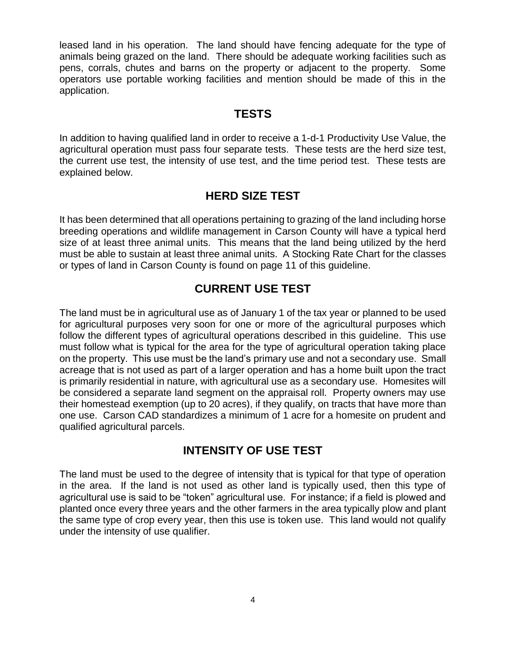leased land in his operation. The land should have fencing adequate for the type of animals being grazed on the land. There should be adequate working facilities such as pens, corrals, chutes and barns on the property or adjacent to the property. Some operators use portable working facilities and mention should be made of this in the application.

#### **TESTS**

In addition to having qualified land in order to receive a 1-d-1 Productivity Use Value, the agricultural operation must pass four separate tests. These tests are the herd size test, the current use test, the intensity of use test, and the time period test. These tests are explained below.

#### **HERD SIZE TEST**

It has been determined that all operations pertaining to grazing of the land including horse breeding operations and wildlife management in Carson County will have a typical herd size of at least three animal units. This means that the land being utilized by the herd must be able to sustain at least three animal units. A Stocking Rate Chart for the classes or types of land in Carson County is found on page 11 of this guideline.

#### **CURRENT USE TEST**

The land must be in agricultural use as of January 1 of the tax year or planned to be used for agricultural purposes very soon for one or more of the agricultural purposes which follow the different types of agricultural operations described in this guideline. This use must follow what is typical for the area for the type of agricultural operation taking place on the property. This use must be the land's primary use and not a secondary use. Small acreage that is not used as part of a larger operation and has a home built upon the tract is primarily residential in nature, with agricultural use as a secondary use. Homesites will be considered a separate land segment on the appraisal roll. Property owners may use their homestead exemption (up to 20 acres), if they qualify, on tracts that have more than one use. Carson CAD standardizes a minimum of 1 acre for a homesite on prudent and qualified agricultural parcels.

#### **INTENSITY OF USE TEST**

The land must be used to the degree of intensity that is typical for that type of operation in the area. If the land is not used as other land is typically used, then this type of agricultural use is said to be "token" agricultural use. For instance; if a field is plowed and planted once every three years and the other farmers in the area typically plow and plant the same type of crop every year, then this use is token use. This land would not qualify under the intensity of use qualifier.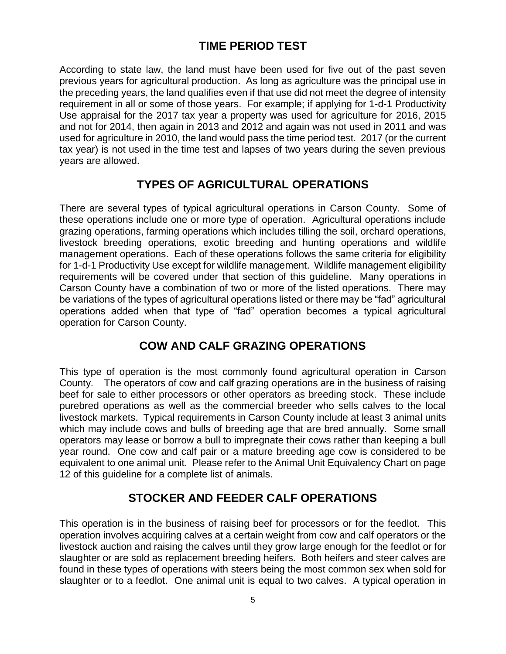#### **TIME PERIOD TEST**

According to state law, the land must have been used for five out of the past seven previous years for agricultural production. As long as agriculture was the principal use in the preceding years, the land qualifies even if that use did not meet the degree of intensity requirement in all or some of those years. For example; if applying for 1-d-1 Productivity Use appraisal for the 2017 tax year a property was used for agriculture for 2016, 2015 and not for 2014, then again in 2013 and 2012 and again was not used in 2011 and was used for agriculture in 2010, the land would pass the time period test. 2017 (or the current tax year) is not used in the time test and lapses of two years during the seven previous years are allowed.

#### **TYPES OF AGRICULTURAL OPERATIONS**

There are several types of typical agricultural operations in Carson County. Some of these operations include one or more type of operation. Agricultural operations include grazing operations, farming operations which includes tilling the soil, orchard operations, livestock breeding operations, exotic breeding and hunting operations and wildlife management operations. Each of these operations follows the same criteria for eligibility for 1-d-1 Productivity Use except for wildlife management. Wildlife management eligibility requirements will be covered under that section of this guideline. Many operations in Carson County have a combination of two or more of the listed operations. There may be variations of the types of agricultural operations listed or there may be "fad" agricultural operations added when that type of "fad" operation becomes a typical agricultural operation for Carson County.

#### **COW AND CALF GRAZING OPERATIONS**

This type of operation is the most commonly found agricultural operation in Carson County. The operators of cow and calf grazing operations are in the business of raising beef for sale to either processors or other operators as breeding stock. These include purebred operations as well as the commercial breeder who sells calves to the local livestock markets. Typical requirements in Carson County include at least 3 animal units which may include cows and bulls of breeding age that are bred annually. Some small operators may lease or borrow a bull to impregnate their cows rather than keeping a bull year round. One cow and calf pair or a mature breeding age cow is considered to be equivalent to one animal unit. Please refer to the Animal Unit Equivalency Chart on page 12 of this guideline for a complete list of animals.

#### **STOCKER AND FEEDER CALF OPERATIONS**

This operation is in the business of raising beef for processors or for the feedlot. This operation involves acquiring calves at a certain weight from cow and calf operators or the livestock auction and raising the calves until they grow large enough for the feedlot or for slaughter or are sold as replacement breeding heifers. Both heifers and steer calves are found in these types of operations with steers being the most common sex when sold for slaughter or to a feedlot. One animal unit is equal to two calves. A typical operation in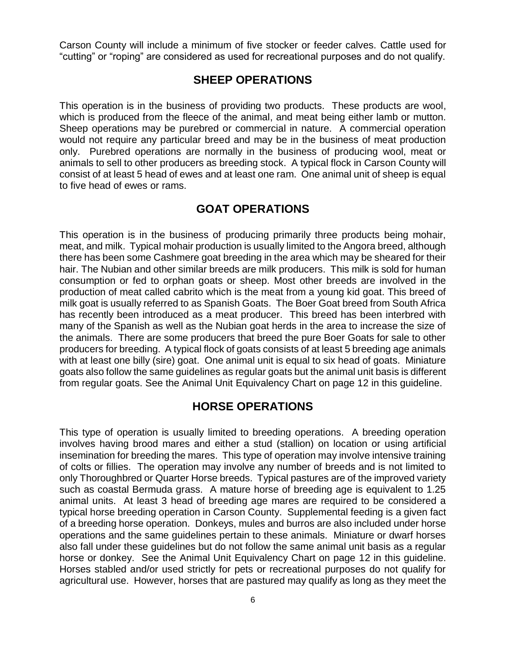Carson County will include a minimum of five stocker or feeder calves. Cattle used for "cutting" or "roping" are considered as used for recreational purposes and do not qualify.

#### **SHEEP OPERATIONS**

This operation is in the business of providing two products. These products are wool, which is produced from the fleece of the animal, and meat being either lamb or mutton. Sheep operations may be purebred or commercial in nature. A commercial operation would not require any particular breed and may be in the business of meat production only. Purebred operations are normally in the business of producing wool, meat or animals to sell to other producers as breeding stock. A typical flock in Carson County will consist of at least 5 head of ewes and at least one ram. One animal unit of sheep is equal to five head of ewes or rams.

#### **GOAT OPERATIONS**

This operation is in the business of producing primarily three products being mohair, meat, and milk. Typical mohair production is usually limited to the Angora breed, although there has been some Cashmere goat breeding in the area which may be sheared for their hair. The Nubian and other similar breeds are milk producers. This milk is sold for human consumption or fed to orphan goats or sheep. Most other breeds are involved in the production of meat called cabrito which is the meat from a young kid goat. This breed of milk goat is usually referred to as Spanish Goats. The Boer Goat breed from South Africa has recently been introduced as a meat producer. This breed has been interbred with many of the Spanish as well as the Nubian goat herds in the area to increase the size of the animals. There are some producers that breed the pure Boer Goats for sale to other producers for breeding. A typical flock of goats consists of at least 5 breeding age animals with at least one billy (sire) goat. One animal unit is equal to six head of goats. Miniature goats also follow the same guidelines as regular goats but the animal unit basis is different from regular goats. See the Animal Unit Equivalency Chart on page 12 in this guideline.

#### **HORSE OPERATIONS**

This type of operation is usually limited to breeding operations. A breeding operation involves having brood mares and either a stud (stallion) on location or using artificial insemination for breeding the mares. This type of operation may involve intensive training of colts or fillies. The operation may involve any number of breeds and is not limited to only Thoroughbred or Quarter Horse breeds. Typical pastures are of the improved variety such as coastal Bermuda grass. A mature horse of breeding age is equivalent to 1.25 animal units. At least 3 head of breeding age mares are required to be considered a typical horse breeding operation in Carson County. Supplemental feeding is a given fact of a breeding horse operation. Donkeys, mules and burros are also included under horse operations and the same guidelines pertain to these animals. Miniature or dwarf horses also fall under these guidelines but do not follow the same animal unit basis as a regular horse or donkey. See the Animal Unit Equivalency Chart on page 12 in this guideline. Horses stabled and/or used strictly for pets or recreational purposes do not qualify for agricultural use. However, horses that are pastured may qualify as long as they meet the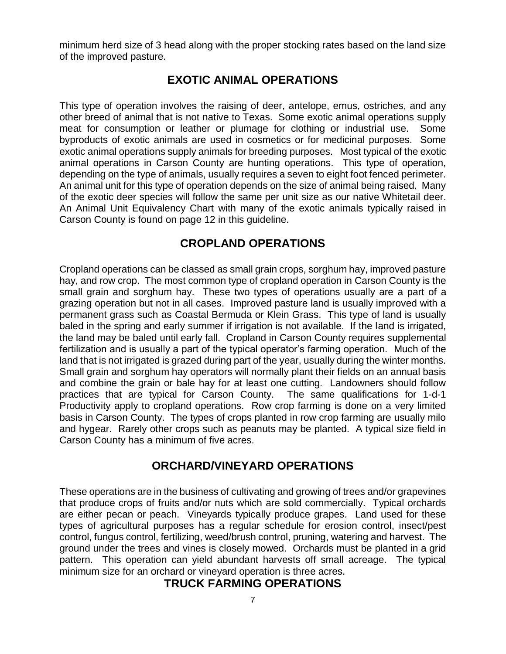minimum herd size of 3 head along with the proper stocking rates based on the land size of the improved pasture.

#### **EXOTIC ANIMAL OPERATIONS**

This type of operation involves the raising of deer, antelope, emus, ostriches, and any other breed of animal that is not native to Texas. Some exotic animal operations supply meat for consumption or leather or plumage for clothing or industrial use. Some byproducts of exotic animals are used in cosmetics or for medicinal purposes. Some exotic animal operations supply animals for breeding purposes. Most typical of the exotic animal operations in Carson County are hunting operations. This type of operation, depending on the type of animals, usually requires a seven to eight foot fenced perimeter. An animal unit for this type of operation depends on the size of animal being raised. Many of the exotic deer species will follow the same per unit size as our native Whitetail deer. An Animal Unit Equivalency Chart with many of the exotic animals typically raised in Carson County is found on page 12 in this guideline.

#### **CROPLAND OPERATIONS**

Cropland operations can be classed as small grain crops, sorghum hay, improved pasture hay, and row crop. The most common type of cropland operation in Carson County is the small grain and sorghum hay. These two types of operations usually are a part of a grazing operation but not in all cases. Improved pasture land is usually improved with a permanent grass such as Coastal Bermuda or Klein Grass. This type of land is usually baled in the spring and early summer if irrigation is not available. If the land is irrigated, the land may be baled until early fall. Cropland in Carson County requires supplemental fertilization and is usually a part of the typical operator's farming operation. Much of the land that is not irrigated is grazed during part of the year, usually during the winter months. Small grain and sorghum hay operators will normally plant their fields on an annual basis and combine the grain or bale hay for at least one cutting. Landowners should follow practices that are typical for Carson County. The same qualifications for 1-d-1 Productivity apply to cropland operations. Row crop farming is done on a very limited basis in Carson County. The types of crops planted in row crop farming are usually milo and hygear. Rarely other crops such as peanuts may be planted. A typical size field in Carson County has a minimum of five acres.

#### **ORCHARD/VINEYARD OPERATIONS**

These operations are in the business of cultivating and growing of trees and/or grapevines that produce crops of fruits and/or nuts which are sold commercially. Typical orchards are either pecan or peach. Vineyards typically produce grapes. Land used for these types of agricultural purposes has a regular schedule for erosion control, insect/pest control, fungus control, fertilizing, weed/brush control, pruning, watering and harvest. The ground under the trees and vines is closely mowed. Orchards must be planted in a grid pattern. This operation can yield abundant harvests off small acreage. The typical minimum size for an orchard or vineyard operation is three acres.

#### **TRUCK FARMING OPERATIONS**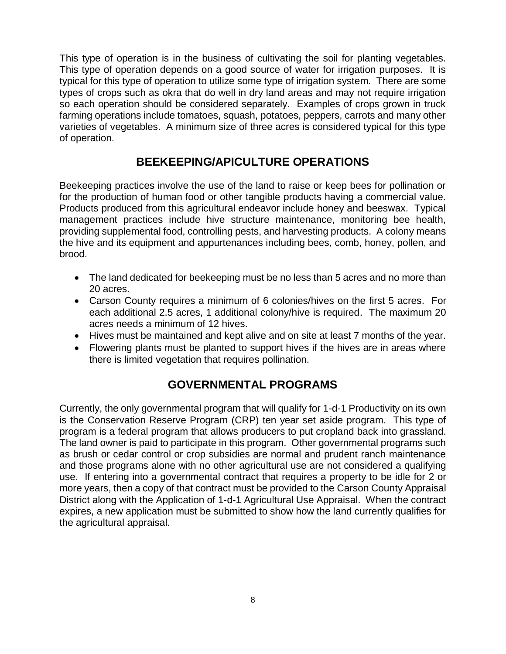This type of operation is in the business of cultivating the soil for planting vegetables. This type of operation depends on a good source of water for irrigation purposes. It is typical for this type of operation to utilize some type of irrigation system. There are some types of crops such as okra that do well in dry land areas and may not require irrigation so each operation should be considered separately. Examples of crops grown in truck farming operations include tomatoes, squash, potatoes, peppers, carrots and many other varieties of vegetables. A minimum size of three acres is considered typical for this type of operation.

#### **BEEKEEPING/APICULTURE OPERATIONS**

Beekeeping practices involve the use of the land to raise or keep bees for pollination or for the production of human food or other tangible products having a commercial value. Products produced from this agricultural endeavor include honey and beeswax. Typical management practices include hive structure maintenance, monitoring bee health, providing supplemental food, controlling pests, and harvesting products. A colony means the hive and its equipment and appurtenances including bees, comb, honey, pollen, and brood.

- The land dedicated for beekeeping must be no less than 5 acres and no more than 20 acres.
- Carson County requires a minimum of 6 colonies/hives on the first 5 acres. For each additional 2.5 acres, 1 additional colony/hive is required. The maximum 20 acres needs a minimum of 12 hives.
- Hives must be maintained and kept alive and on site at least 7 months of the year.
- Flowering plants must be planted to support hives if the hives are in areas where there is limited vegetation that requires pollination.

#### **GOVERNMENTAL PROGRAMS**

Currently, the only governmental program that will qualify for 1-d-1 Productivity on its own is the Conservation Reserve Program (CRP) ten year set aside program. This type of program is a federal program that allows producers to put cropland back into grassland. The land owner is paid to participate in this program. Other governmental programs such as brush or cedar control or crop subsidies are normal and prudent ranch maintenance and those programs alone with no other agricultural use are not considered a qualifying use. If entering into a governmental contract that requires a property to be idle for 2 or more years, then a copy of that contract must be provided to the Carson County Appraisal District along with the Application of 1-d-1 Agricultural Use Appraisal. When the contract expires, a new application must be submitted to show how the land currently qualifies for the agricultural appraisal.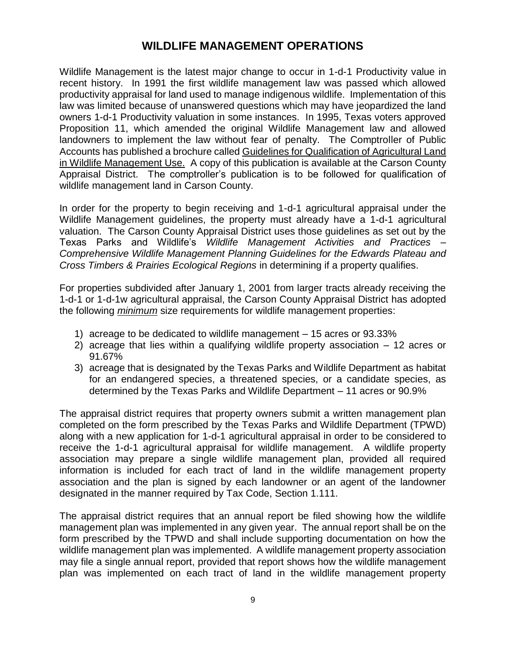#### **WILDLIFE MANAGEMENT OPERATIONS**

Wildlife Management is the latest major change to occur in 1-d-1 Productivity value in recent history. In 1991 the first wildlife management law was passed which allowed productivity appraisal for land used to manage indigenous wildlife. Implementation of this law was limited because of unanswered questions which may have jeopardized the land owners 1-d-1 Productivity valuation in some instances. In 1995, Texas voters approved Proposition 11, which amended the original Wildlife Management law and allowed landowners to implement the law without fear of penalty. The Comptroller of Public Accounts has published a brochure called Guidelines for Qualification of Agricultural Land in Wildlife Management Use. A copy of this publication is available at the Carson County Appraisal District. The comptroller's publication is to be followed for qualification of wildlife management land in Carson County.

In order for the property to begin receiving and 1-d-1 agricultural appraisal under the Wildlife Management guidelines, the property must already have a 1-d-1 agricultural valuation. The Carson County Appraisal District uses those guidelines as set out by the Texas Parks and Wildlife's *Wildlife Management Activities and Practices – Comprehensive Wildlife Management Planning Guidelines for the Edwards Plateau and Cross Timbers & Prairies Ecological Regions* in determining if a property qualifies.

For properties subdivided after January 1, 2001 from larger tracts already receiving the 1-d-1 or 1-d-1w agricultural appraisal, the Carson County Appraisal District has adopted the following *minimum* size requirements for wildlife management properties:

- 1) acreage to be dedicated to wildlife management 15 acres or 93.33%
- 2) acreage that lies within a qualifying wildlife property association 12 acres or 91.67%
- 3) acreage that is designated by the Texas Parks and Wildlife Department as habitat for an endangered species, a threatened species, or a candidate species, as determined by the Texas Parks and Wildlife Department – 11 acres or 90.9%

The appraisal district requires that property owners submit a written management plan completed on the form prescribed by the Texas Parks and Wildlife Department (TPWD) along with a new application for 1-d-1 agricultural appraisal in order to be considered to receive the 1-d-1 agricultural appraisal for wildlife management. A wildlife property association may prepare a single wildlife management plan, provided all required information is included for each tract of land in the wildlife management property association and the plan is signed by each landowner or an agent of the landowner designated in the manner required by Tax Code, Section 1.111.

The appraisal district requires that an annual report be filed showing how the wildlife management plan was implemented in any given year. The annual report shall be on the form prescribed by the TPWD and shall include supporting documentation on how the wildlife management plan was implemented. A wildlife management property association may file a single annual report, provided that report shows how the wildlife management plan was implemented on each tract of land in the wildlife management property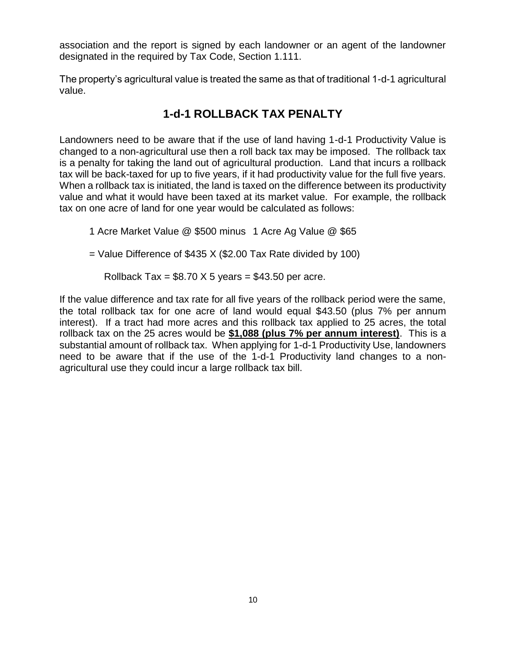association and the report is signed by each landowner or an agent of the landowner designated in the required by Tax Code, Section 1.111.

The property's agricultural value is treated the same as that of traditional 1-d-1 agricultural value.

#### **1-d-1 ROLLBACK TAX PENALTY**

Landowners need to be aware that if the use of land having 1-d-1 Productivity Value is changed to a non-agricultural use then a roll back tax may be imposed. The rollback tax is a penalty for taking the land out of agricultural production. Land that incurs a rollback tax will be back-taxed for up to five years, if it had productivity value for the full five years. When a rollback tax is initiated, the land is taxed on the difference between its productivity value and what it would have been taxed at its market value. For example, the rollback tax on one acre of land for one year would be calculated as follows:

1 Acre Market Value @ \$500 minus 1 Acre Ag Value @ \$65

 $=$  Value Difference of \$435 X (\$2.00 Tax Rate divided by 100)

Rollback Tax =  $$8.70 \times 5 \text{ years} = $43.50 \text{ per acre.}$ 

If the value difference and tax rate for all five years of the rollback period were the same, the total rollback tax for one acre of land would equal \$43.50 (plus 7% per annum interest). If a tract had more acres and this rollback tax applied to 25 acres, the total rollback tax on the 25 acres would be **\$1,088 (plus 7% per annum interest)**. This is a substantial amount of rollback tax. When applying for 1-d-1 Productivity Use, landowners need to be aware that if the use of the 1-d-1 Productivity land changes to a nonagricultural use they could incur a large rollback tax bill.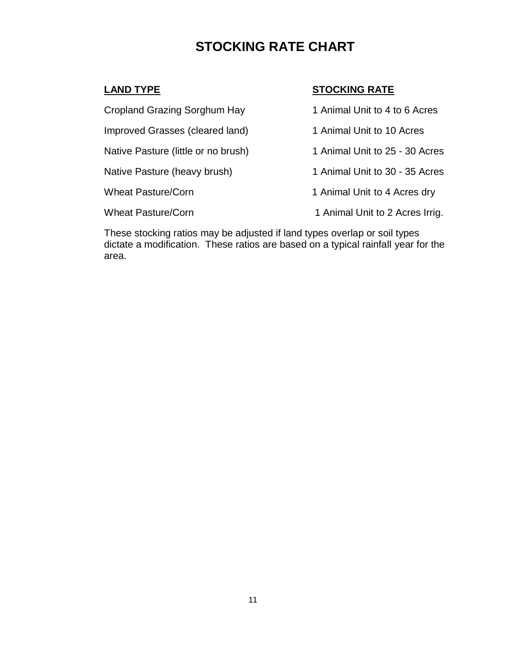### **STOCKING RATE CHART**

#### **LAND TYPE STOCKING RATE**

Cropland Grazing Sorghum Hay 1 Animal Unit to 4 to 6 Acres Improved Grasses (cleared land) 1 Animal Unit to 10 Acres Native Pasture (little or no brush) 1 Animal Unit to 25 - 30 Acres Native Pasture (heavy brush) 1 Animal Unit to 30 - 35 Acres Wheat Pasture/Corn 1 Animal Unit to 4 Acres dry Wheat Pasture/Corn 1 Animal Unit to 2 Acres Irrig.

These stocking ratios may be adjusted if land types overlap or soil types dictate a modification. These ratios are based on a typical rainfall year for the area.